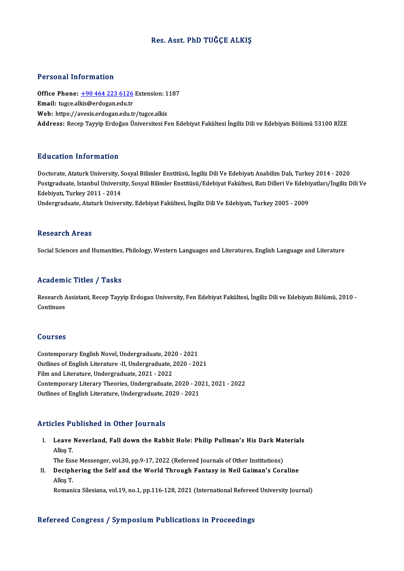# Res. Asst. PhD TUĞÇE ALKIŞ

## Personal Information

Personal Information<br>Office Phone: <u>+90 464 223 6126</u> Extension: 1187<br>Email: tugge allig@ardegan.edu.tr Procedure internation<br>Office Phone: <u>+90 464 223 6126</u><br>Email: tugce.al[kis@erdogan.edu.tr](tel:+90 464 223 6126) Office Phone: <u>+90 464 223 6126</u> Extension: 1<br>Email: tugce.alkis@erdogan.edu.tr<br>Web: https://avesis.erdogan.edu.tr/tugce.alkis<br>Address: Pesen Taurin Erdoğan Üniversitesi E **Email:** tugce.alkis@erdogan.edu.tr<br>Web: https://avesis.erdogan.edu.tr/tugce.alkis<br>Address: Recep Tayyip Erdoğan Üniversitesi Fen Edebiyat Fakültesi İngiliz Dili ve Edebiyatı Bölümü 53100 RİZE

# Education Information

<mark>Education Information</mark><br>Doctorate, Ataturk University, Sosyal Bilimler Enstitüsü, İngiliz Dili Ve Edebiyatı Anabilim Dalı, Turkey 2014 - 2020<br>Postsraduata Istanbul University, Sosyal Bilimler Enstitüsü (Edebiyat Fakültesi, Pu u outron Timor Inderon<br>Doctorate, Ataturk University, Sosyal Bilimler Enstitüsü, İngiliz Dili Ve Edebiyatı Anabilim Dalı, Turkey 2014 - 2020<br>Postgraduate, Istanbul University, Sosyal Bilimler Enstitüsü/Edebiyat Fakültes Doctorate, Ataturk University, S<br>Postgraduate, Istanbul Universi<br>Edebiyatı, Turkey 2011 - 2014<br>Undersreduate, Ataturk Univer Postgraduate, Istanbul University, Sosyal Bilimler Enstitüsü/Edebiyat Fakültesi, Batı Dilleri Ve Edebi<br>Edebiyatı, Turkey 2011 - 2014<br>Undergraduate, Ataturk University, Edebiyat Fakültesi, İngiliz Dili Ve Edebiyatı, Turkey

Undergraduate, Ataturk University, Edebiyat Fakültesi, İngiliz Dili Ve Edebiyatı, Turkey 2005 - 2009<br>Research Areas

Social Sciences and Humanities, Philology, Western Languages and Literatures, English Language and Literature

## Academic Titles / Tasks

**Academic Titles / Tasks**<br>Research Assistant, Recep Tayyip Erdogan University, Fen Edebiyat Fakültesi, İngiliz Dili ve Edebiyatı Bölümü, 2010 -<br>Continues Research A<br>Continues Continues<br>Courses

Contemporary English Novel, Undergraduate, 2020 - 2021 Outlines of English Literature -II, Undergraduate, 2020 - 2021 Film and Literature, Undergraduate, 2021 - 2022 Outlines of English Literature -II, Undergraduate, 2020 - 2021<br>Film and Literature, Undergraduate, 2021 - 2022<br>Contemporary Literary Theories, Undergraduate, 2020 - 2021, 2021 - 2022<br>Outlines of English Literature, Undergr Film and Literature, Undergraduate, 2021 - 2022<br>Contemporary Literary Theories, Undergraduate, 2020 - 20<br>Outlines of English Literature, Undergraduate, 2020 - 2021 Outlines of English Literature, Undergraduate, 2020 - 2021<br>Articles Published in Other Journals

rticles Published in Other Journals<br>I. Leave Neverland, Fall down the Rabbit Hole: Philip Pullman's His Dark Materials<br>Allns T 100 1 t<br>Leave<br>Alkış T.<br>The Ess Leave Neverland, Fall down the Rabbit Hole: Philip Pullman's His Dark Ma<br>Alkış T.<br>The Esse Messenger, vol.30, pp.9-17, 2022 (Refereed Journals of Other Institutions)<br>Desiphering the Self and the Werld Through Fontesy in Ne

Alkış T.<br>The Esse Messenger, vol.30, pp.9-17, 2022 (Refereed Journals of Other Institutions)<br>II. Deciphering the Self and the World Through Fantasy in Neil Gaiman's Coraline<br>Allec T The Ess<br>Deciph<br>Alkış T.<br><sup>Romani</sup> Deciphering the Self and the World Through Fantasy in Neil Gaiman's Coraline<br>Alkış T.<br>Romanica Silesiana, vol.19, no.1, pp.116-128, 2021 (International Refereed University Journal)

Romanica Silesiana, vol.19, no.1, pp.116-128, 2021 (International Refereed University Journal)<br>Refereed Congress / Symposium Publications in Proceedings